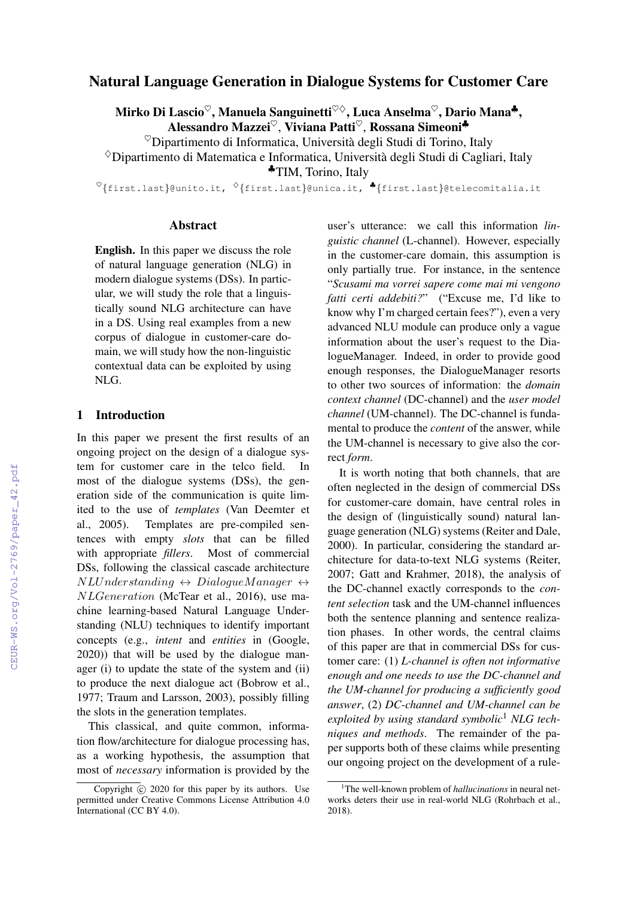# Natural Language Generation in Dialogue Systems for Customer Care

Mirko Di Lascio<sup>♡</sup>, Manuela Sanguinetti<sup>♡◇</sup>, Luca Anselma<sup>♡</sup>, Dario Mana<sup>♣</sup>, Alessandro Mazzei<sup>♡</sup>, Viviana Patti<sup>♡</sup>, Rossana Simeoni<sup>♣</sup>

 $^\heartsuit$ Dipartimento di Informatica, Università degli Studi di Torino, Italy

 $\Diamond$ Dipartimento di Matematica e Informatica, Università degli Studi di Cagliari, Italy

♣TIM, Torino, Italy

 $\mathcal{O}\{\text{first-last}\}$ @unito.it,  $\mathcal{O}\{\text{first-last}\}$ @unica.it,  $\bullet$ {first.last}@telecomitalia.it

#### Abstract

English. In this paper we discuss the role of natural language generation (NLG) in modern dialogue systems (DSs). In particular, we will study the role that a linguistically sound NLG architecture can have in a DS. Using real examples from a new corpus of dialogue in customer-care domain, we will study how the non-linguistic contextual data can be exploited by using NLG.

### 1 Introduction

In this paper we present the first results of an ongoing project on the design of a dialogue system for customer care in the telco field. In most of the dialogue systems (DSs), the generation side of the communication is quite limited to the use of *templates* (Van Deemter et al., 2005). Templates are pre-compiled sentences with empty *slots* that can be filled with appropriate *fillers*. Most of commercial DSs, following the classical cascade architecture  $NLUnderstanding \leftrightarrow DialogueManager \leftrightarrow$ NLGeneration (McTear et al., 2016), use machine learning-based Natural Language Understanding (NLU) techniques to identify important concepts (e.g., *intent* and *entities* in (Google, 2020)) that will be used by the dialogue manager (i) to update the state of the system and (ii) to produce the next dialogue act (Bobrow et al., 1977; Traum and Larsson, 2003), possibly filling the slots in the generation templates.

This classical, and quite common, information flow/architecture for dialogue processing has, as a working hypothesis, the assumption that most of *necessary* information is provided by the

user's utterance: we call this information *linguistic channel* (L-channel). However, especially in the customer-care domain, this assumption is only partially true. For instance, in the sentence "*Scusami ma vorrei sapere come mai mi vengono fatti certi addebiti?*" ("Excuse me, I'd like to know why I'm charged certain fees?"), even a very advanced NLU module can produce only a vague information about the user's request to the DialogueManager. Indeed, in order to provide good enough responses, the DialogueManager resorts to other two sources of information: the *domain context channel* (DC-channel) and the *user model channel* (UM-channel). The DC-channel is fundamental to produce the *content* of the answer, while the UM-channel is necessary to give also the correct *form*.

It is worth noting that both channels, that are often neglected in the design of commercial DSs for customer-care domain, have central roles in the design of (linguistically sound) natural language generation (NLG) systems (Reiter and Dale, 2000). In particular, considering the standard architecture for data-to-text NLG systems (Reiter, 2007; Gatt and Krahmer, 2018), the analysis of the DC-channel exactly corresponds to the *content selection* task and the UM-channel influences both the sentence planning and sentence realization phases. In other words, the central claims of this paper are that in commercial DSs for customer care: (1) *L-channel is often not informative enough and one needs to use the DC-channel and the UM-channel for producing a sufficiently good answer*, (2) *DC-channel and UM-channel can be exploited by using standard symbolic*<sup>1</sup> *NLG techniques and methods*. The remainder of the paper supports both of these claims while presenting our ongoing project on the development of a rule-

Copyright  $\overline{c}$  2020 for this paper by its authors. Use permitted under Creative Commons License Attribution 4.0 International (CC BY 4.0).

<sup>&</sup>lt;sup>1</sup>The well-known problem of *hallucinations* in neural networks deters their use in real-world NLG (Rohrbach et al., 2018).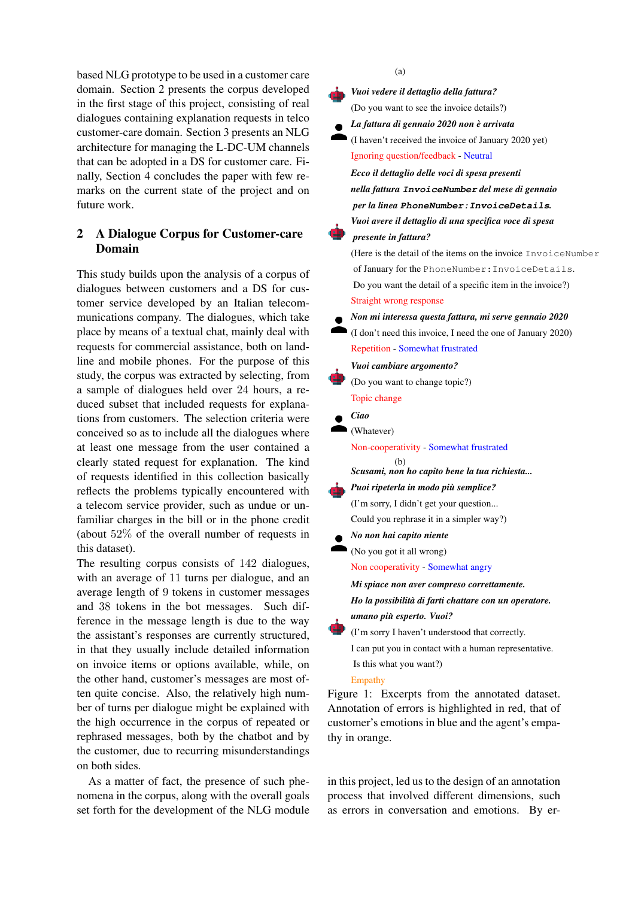based NLG prototype to be used in a customer care domain. Section 2 presents the corpus developed in the first stage of this project, consisting of real dialogues containing explanation requests in telco customer-care domain. Section 3 presents an NLG architecture for managing the L-DC-UM channels that can be adopted in a DS for customer care. Finally, Section 4 concludes the paper with few remarks on the current state of the project and on future work.

## 2 A Dialogue Corpus for Customer-care Domain

This study builds upon the analysis of a corpus of dialogues between customers and a DS for customer service developed by an Italian telecommunications company. The dialogues, which take place by means of a textual chat, mainly deal with requests for commercial assistance, both on landline and mobile phones. For the purpose of this study, the corpus was extracted by selecting, from a sample of dialogues held over 24 hours, a reduced subset that included requests for explanations from customers. The selection criteria were conceived so as to include all the dialogues where at least one message from the user contained a clearly stated request for explanation. The kind of requests identified in this collection basically reflects the problems typically encountered with a telecom service provider, such as undue or unfamiliar charges in the bill or in the phone credit (about 52% of the overall number of requests in this dataset).

The resulting corpus consists of 142 dialogues, with an average of 11 turns per dialogue, and an average length of 9 tokens in customer messages and 38 tokens in the bot messages. Such difference in the message length is due to the way the assistant's responses are currently structured, in that they usually include detailed information on invoice items or options available, while, on the other hand, customer's messages are most often quite concise. Also, the relatively high number of turns per dialogue might be explained with the high occurrence in the corpus of repeated or rephrased messages, both by the chatbot and by the customer, due to recurring misunderstandings on both sides.

As a matter of fact, the presence of such phenomena in the corpus, along with the overall goals set forth for the development of the NLG module (a)

*Vuoi vedere il dettaglio della fattura?*

(Do you want to see the invoice details?)

- *La fattura di gennaio 2020 non e arrivata `*
- (I haven't received the invoice of January 2020 yet) Ignoring question/feedback - Neutral

*Ecco il dettaglio delle voci di spesa presenti nella fattura* **InvoiceNumber** *del mese di gennaio per la linea* **PhoneNumber:InvoiceDetails***. Vuoi avere il dettaglio di una specifica voce di spesa*

# *presente in fattura?*

(Here is the detail of the items on the invoice InvoiceNumber of January for the PhoneNumber:InvoiceDetails. Do you want the detail of a specific item in the invoice?) Straight wrong response

- *Non mi interessa questa fattura, mi serve gennaio 2020*
- (I don't need this invoice, I need the one of January 2020) Repetition - Somewhat frustrated

#### *Vuoi cambiare argomento?*

- (Do you want to change topic?) Topic change
- *Ciao*
- (Whatever)

Non-cooperativity - Somewhat frustrated

#### (b) *Scusami, non ho capito bene la tua richiesta...*

#### *Puoi ripeterla in modo piu semplice? `*

- (I'm sorry, I didn't get your question... Could you rephrase it in a simpler way?)
- *No non hai capito niente*

(No you got it all wrong)

Non cooperativity - Somewhat angry

*Mi spiace non aver compreso correttamente. Ho la possibilita di farti chattare con un operatore. `*

*umano piu esperto. Vuoi? `*

(I'm sorry I haven't understood that correctly. I can put you in contact with a human representative. Is this what you want?)

#### Empathy

Figure 1: Excerpts from the annotated dataset. Annotation of errors is highlighted in red, that of customer's emotions in blue and the agent's empathy in orange.

in this project, led us to the design of an annotation process that involved different dimensions, such as errors in conversation and emotions. By er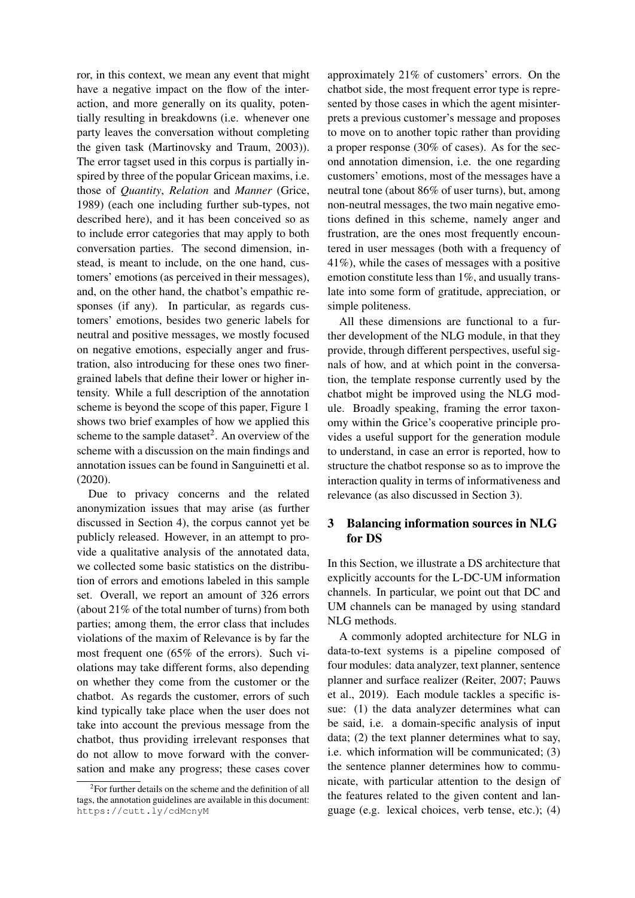ror, in this context, we mean any event that might have a negative impact on the flow of the interaction, and more generally on its quality, potentially resulting in breakdowns (i.e. whenever one party leaves the conversation without completing the given task (Martinovsky and Traum, 2003)). The error tagset used in this corpus is partially inspired by three of the popular Gricean maxims, i.e. those of *Quantity*, *Relation* and *Manner* (Grice, 1989) (each one including further sub-types, not described here), and it has been conceived so as to include error categories that may apply to both conversation parties. The second dimension, instead, is meant to include, on the one hand, customers' emotions (as perceived in their messages), and, on the other hand, the chatbot's empathic responses (if any). In particular, as regards customers' emotions, besides two generic labels for neutral and positive messages, we mostly focused on negative emotions, especially anger and frustration, also introducing for these ones two finergrained labels that define their lower or higher intensity. While a full description of the annotation scheme is beyond the scope of this paper, Figure 1 shows two brief examples of how we applied this scheme to the sample dataset<sup>2</sup>. An overview of the scheme with a discussion on the main findings and annotation issues can be found in Sanguinetti et al. (2020).

Due to privacy concerns and the related anonymization issues that may arise (as further discussed in Section 4), the corpus cannot yet be publicly released. However, in an attempt to provide a qualitative analysis of the annotated data, we collected some basic statistics on the distribution of errors and emotions labeled in this sample set. Overall, we report an amount of 326 errors (about 21% of the total number of turns) from both parties; among them, the error class that includes violations of the maxim of Relevance is by far the most frequent one (65% of the errors). Such violations may take different forms, also depending on whether they come from the customer or the chatbot. As regards the customer, errors of such kind typically take place when the user does not take into account the previous message from the chatbot, thus providing irrelevant responses that do not allow to move forward with the conversation and make any progress; these cases cover

approximately 21% of customers' errors. On the chatbot side, the most frequent error type is represented by those cases in which the agent misinterprets a previous customer's message and proposes to move on to another topic rather than providing a proper response (30% of cases). As for the second annotation dimension, i.e. the one regarding customers' emotions, most of the messages have a neutral tone (about 86% of user turns), but, among non-neutral messages, the two main negative emotions defined in this scheme, namely anger and frustration, are the ones most frequently encountered in user messages (both with a frequency of 41%), while the cases of messages with a positive emotion constitute less than 1%, and usually translate into some form of gratitude, appreciation, or simple politeness.

All these dimensions are functional to a further development of the NLG module, in that they provide, through different perspectives, useful signals of how, and at which point in the conversation, the template response currently used by the chatbot might be improved using the NLG module. Broadly speaking, framing the error taxonomy within the Grice's cooperative principle provides a useful support for the generation module to understand, in case an error is reported, how to structure the chatbot response so as to improve the interaction quality in terms of informativeness and relevance (as also discussed in Section 3).

### 3 Balancing information sources in NLG for DS

In this Section, we illustrate a DS architecture that explicitly accounts for the L-DC-UM information channels. In particular, we point out that DC and UM channels can be managed by using standard NLG methods.

A commonly adopted architecture for NLG in data-to-text systems is a pipeline composed of four modules: data analyzer, text planner, sentence planner and surface realizer (Reiter, 2007; Pauws et al., 2019). Each module tackles a specific issue: (1) the data analyzer determines what can be said, i.e. a domain-specific analysis of input data; (2) the text planner determines what to say, i.e. which information will be communicated; (3) the sentence planner determines how to communicate, with particular attention to the design of the features related to the given content and language (e.g. lexical choices, verb tense, etc.); (4)

<sup>&</sup>lt;sup>2</sup> For further details on the scheme and the definition of all tags, the annotation guidelines are available in this document: https://cutt.ly/cdMcnyM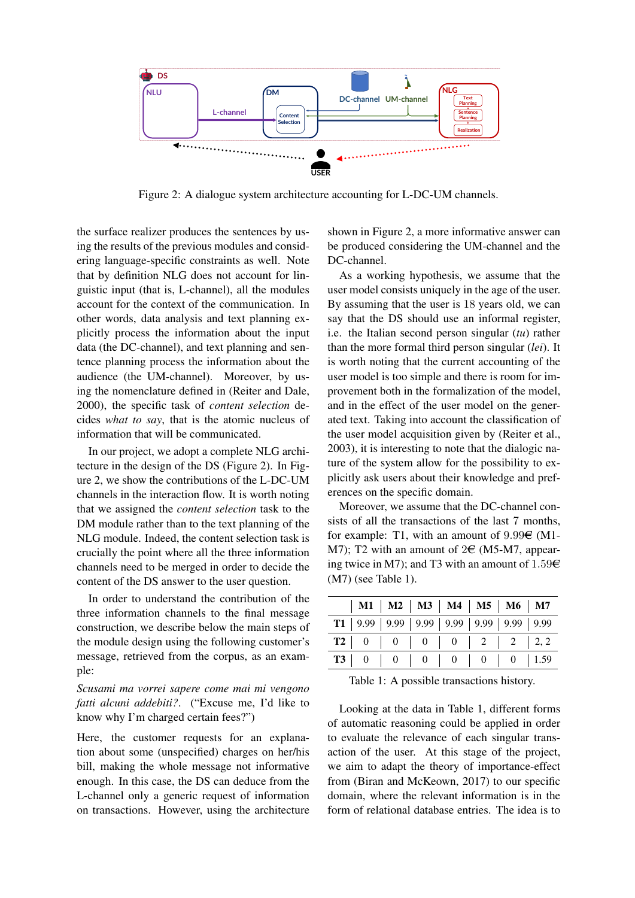

Figure 2: A dialogue system architecture accounting for L-DC-UM channels.

the surface realizer produces the sentences by using the results of the previous modules and considering language-specific constraints as well. Note that by definition NLG does not account for linguistic input (that is, L-channel), all the modules account for the context of the communication. In other words, data analysis and text planning explicitly process the information about the input data (the DC-channel), and text planning and sentence planning process the information about the audience (the UM-channel). Moreover, by using the nomenclature defined in (Reiter and Dale, 2000), the specific task of *content selection* decides *what to say*, that is the atomic nucleus of information that will be communicated.

In our project, we adopt a complete NLG architecture in the design of the DS (Figure 2). In Figure 2, we show the contributions of the L-DC-UM channels in the interaction flow. It is worth noting that we assigned the *content selection* task to the DM module rather than to the text planning of the NLG module. Indeed, the content selection task is crucially the point where all the three information channels need to be merged in order to decide the content of the DS answer to the user question.

In order to understand the contribution of the three information channels to the final message construction, we describe below the main steps of the module design using the following customer's message, retrieved from the corpus, as an example:

*Scusami ma vorrei sapere come mai mi vengono fatti alcuni addebiti?*. ("Excuse me, I'd like to know why I'm charged certain fees?")

Here, the customer requests for an explanation about some (unspecified) charges on her/his bill, making the whole message not informative enough. In this case, the DS can deduce from the L-channel only a generic request of information on transactions. However, using the architecture shown in Figure 2, a more informative answer can be produced considering the UM-channel and the DC-channel.

As a working hypothesis, we assume that the user model consists uniquely in the age of the user. By assuming that the user is 18 years old, we can say that the DS should use an informal register, i.e. the Italian second person singular (*tu*) rather than the more formal third person singular (*lei*). It is worth noting that the current accounting of the user model is too simple and there is room for improvement both in the formalization of the model, and in the effect of the user model on the generated text. Taking into account the classification of the user model acquisition given by (Reiter et al., 2003), it is interesting to note that the dialogic nature of the system allow for the possibility to explicitly ask users about their knowledge and preferences on the specific domain.

Moreover, we assume that the DC-channel consists of all the transactions of the last 7 months, for example: T1, with an amount of  $9.99\epsilon$  (M1-M7); T2 with an amount of  $2 \in (M5-M7, a \text{ppear-}$ ing twice in M7); and T3 with an amount of  $1.59<sup>\epsilon</sup>$ (M7) (see Table 1).

| $\vert$ M1 $\vert$ M2 $\vert$ M3 $\vert$ M4 $\vert$ M5 $\vert$ M6 $\vert$ M7 |  |  |
|------------------------------------------------------------------------------|--|--|
| <b>T1</b>   9.99   9.99   9.99   9.99   9.99   9.99   9.99                   |  |  |
|                                                                              |  |  |
| <b>T3</b>   0   0   0   0   0   0   1.59                                     |  |  |

Table 1: A possible transactions history.

Looking at the data in Table 1, different forms of automatic reasoning could be applied in order to evaluate the relevance of each singular transaction of the user. At this stage of the project, we aim to adapt the theory of importance-effect from (Biran and McKeown, 2017) to our specific domain, where the relevant information is in the form of relational database entries. The idea is to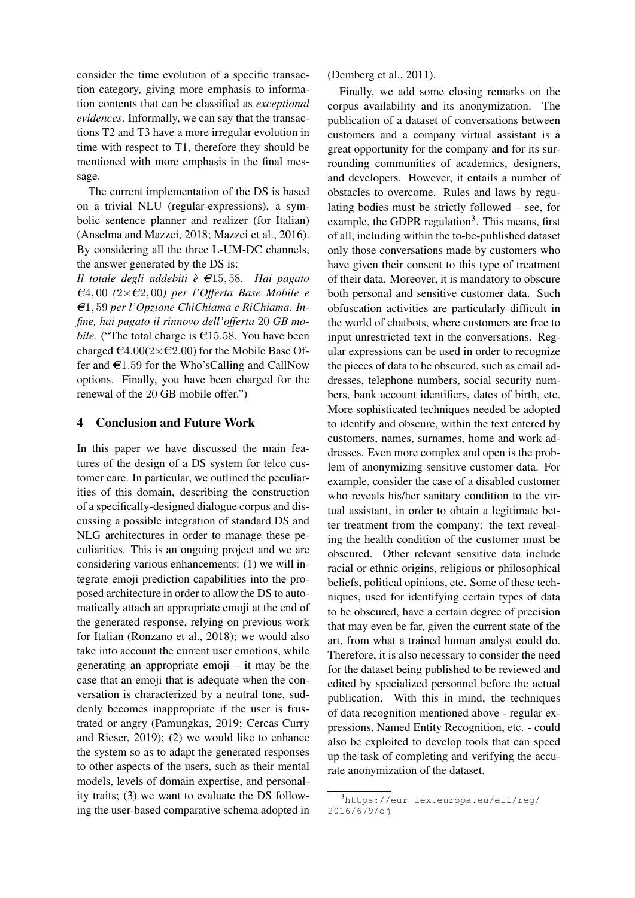consider the time evolution of a specific transaction category, giving more emphasis to information contents that can be classified as *exceptional evidences*. Informally, we can say that the transactions T2 and T3 have a more irregular evolution in time with respect to T1, therefore they should be mentioned with more emphasis in the final message.

The current implementation of the DS is based on a trivial NLU (regular-expressions), a symbolic sentence planner and realizer (for Italian) (Anselma and Mazzei, 2018; Mazzei et al., 2016). By considering all the three L-UM-DC channels, the answer generated by the DS is:

*Il totale degli addebiti*  $\hat{e}$   $\in$  15, 58*. Hai pagato*  $\epsilon$ 4, 00  $(2\times\epsilon$ 2, 00) per l'Offerta Base Mobile e A*C*1, 59 *per l'Opzione ChiChiama e RiChiama. Infine, hai pagato il rinnovo dell'offerta* 20 *GB mobile.* ("The total charge is  $\epsilon$ 15.58. You have been charged  $\epsilon$ 4.00(2× $\epsilon$ 2.00) for the Mobile Base Offer and  $\epsilon$ 1.59 for the Who'sCalling and CallNow options. Finally, you have been charged for the renewal of the 20 GB mobile offer.")

### 4 Conclusion and Future Work

In this paper we have discussed the main features of the design of a DS system for telco customer care. In particular, we outlined the peculiarities of this domain, describing the construction of a specifically-designed dialogue corpus and discussing a possible integration of standard DS and NLG architectures in order to manage these peculiarities. This is an ongoing project and we are considering various enhancements: (1) we will integrate emoji prediction capabilities into the proposed architecture in order to allow the DS to automatically attach an appropriate emoji at the end of the generated response, relying on previous work for Italian (Ronzano et al., 2018); we would also take into account the current user emotions, while generating an appropriate emoji – it may be the case that an emoji that is adequate when the conversation is characterized by a neutral tone, suddenly becomes inappropriate if the user is frustrated or angry (Pamungkas, 2019; Cercas Curry and Rieser, 2019); (2) we would like to enhance the system so as to adapt the generated responses to other aspects of the users, such as their mental models, levels of domain expertise, and personality traits; (3) we want to evaluate the DS following the user-based comparative schema adopted in (Demberg et al., 2011).

Finally, we add some closing remarks on the corpus availability and its anonymization. The publication of a dataset of conversations between customers and a company virtual assistant is a great opportunity for the company and for its surrounding communities of academics, designers, and developers. However, it entails a number of obstacles to overcome. Rules and laws by regulating bodies must be strictly followed – see, for example, the GDPR regulation<sup>3</sup>. This means, first of all, including within the to-be-published dataset only those conversations made by customers who have given their consent to this type of treatment of their data. Moreover, it is mandatory to obscure both personal and sensitive customer data. Such obfuscation activities are particularly difficult in the world of chatbots, where customers are free to input unrestricted text in the conversations. Regular expressions can be used in order to recognize the pieces of data to be obscured, such as email addresses, telephone numbers, social security numbers, bank account identifiers, dates of birth, etc. More sophisticated techniques needed be adopted to identify and obscure, within the text entered by customers, names, surnames, home and work addresses. Even more complex and open is the problem of anonymizing sensitive customer data. For example, consider the case of a disabled customer who reveals his/her sanitary condition to the virtual assistant, in order to obtain a legitimate better treatment from the company: the text revealing the health condition of the customer must be obscured. Other relevant sensitive data include racial or ethnic origins, religious or philosophical beliefs, political opinions, etc. Some of these techniques, used for identifying certain types of data to be obscured, have a certain degree of precision that may even be far, given the current state of the art, from what a trained human analyst could do. Therefore, it is also necessary to consider the need for the dataset being published to be reviewed and edited by specialized personnel before the actual publication. With this in mind, the techniques of data recognition mentioned above - regular expressions, Named Entity Recognition, etc. - could also be exploited to develop tools that can speed up the task of completing and verifying the accurate anonymization of the dataset.

<sup>3</sup>https://eur-lex.europa.eu/eli/reg/ 2016/679/oj